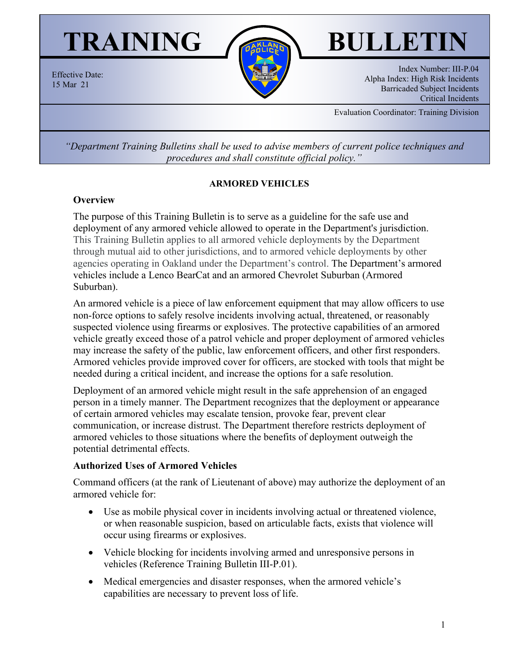# TRAINING *BULLETI*



Index Number: III-P.04 Alpha Index: High Risk Incidents Barricaded Subject Incidents Critical Incidents

Evaluation Coordinator: Training Division

*"Department Training Bulletins shall be used to advise members of current police techniques and procedures and shall constitute official policy."*

#### **ARMORED VEHICLES**

#### **Overview**

Effective Date: 15 Mar 21

> The purpose of this Training Bulletin is to serve as a guideline for the safe use and deployment of any armored vehicle allowed to operate in the Department's jurisdiction. This Training Bulletin applies to all armored vehicle deployments by the Department through mutual aid to other jurisdictions, and to armored vehicle deployments by other agencies operating in Oakland under the Department's control. The Department's armored vehicles include a Lenco BearCat and an armored Chevrolet Suburban (Armored Suburban).

> An armored vehicle is a piece of law enforcement equipment that may allow officers to use non-force options to safely resolve incidents involving actual, threatened, or reasonably suspected violence using firearms or explosives. The protective capabilities of an armored vehicle greatly exceed those of a patrol vehicle and proper deployment of armored vehicles may increase the safety of the public, law enforcement officers, and other first responders. Armored vehicles provide improved cover for officers, are stocked with tools that might be needed during a critical incident, and increase the options for a safe resolution.

Deployment of an armored vehicle might result in the safe apprehension of an engaged person in a timely manner. The Department recognizes that the deployment or appearance of certain armored vehicles may escalate tension, provoke fear, prevent clear communication, or increase distrust. The Department therefore restricts deployment of armored vehicles to those situations where the benefits of deployment outweigh the potential detrimental effects.

#### **Authorized Uses of Armored Vehicles**

Command officers (at the rank of Lieutenant of above) may authorize the deployment of an armored vehicle for:

- Use as mobile physical cover in incidents involving actual or threatened violence, or when reasonable suspicion, based on articulable facts, exists that violence will occur using firearms or explosives.
- Vehicle blocking for incidents involving armed and unresponsive persons in vehicles (Reference Training Bulletin III-P.01).
- Medical emergencies and disaster responses, when the armored vehicle's capabilities are necessary to prevent loss of life.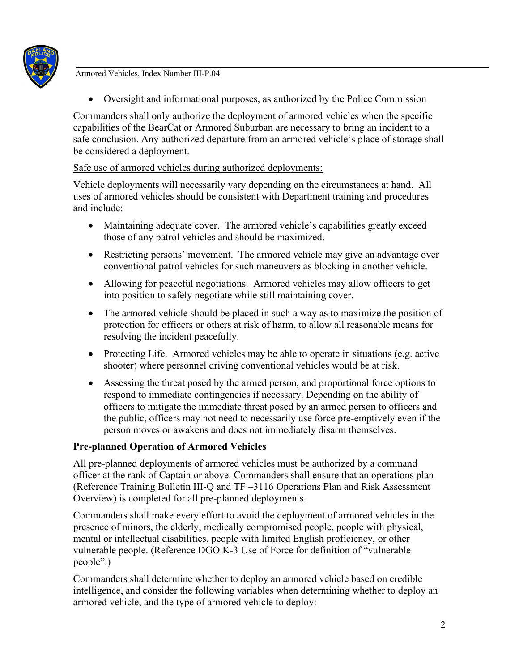

Armored Vehicles, Index Number III-P.04

• Oversight and informational purposes, as authorized by the Police Commission

Commanders shall only authorize the deployment of armored vehicles when the specific capabilities of the BearCat or Armored Suburban are necessary to bring an incident to a safe conclusion. Any authorized departure from an armored vehicle's place of storage shall be considered a deployment.

# Safe use of armored vehicles during authorized deployments:

Vehicle deployments will necessarily vary depending on the circumstances at hand. All uses of armored vehicles should be consistent with Department training and procedures and include:

- Maintaining adequate cover. The armored vehicle's capabilities greatly exceed those of any patrol vehicles and should be maximized.
- Restricting persons' movement. The armored vehicle may give an advantage over conventional patrol vehicles for such maneuvers as blocking in another vehicle.
- Allowing for peaceful negotiations. Armored vehicles may allow officers to get into position to safely negotiate while still maintaining cover.
- The armored vehicle should be placed in such a way as to maximize the position of protection for officers or others at risk of harm, to allow all reasonable means for resolving the incident peacefully.
- Protecting Life. Armored vehicles may be able to operate in situations (e.g. active shooter) where personnel driving conventional vehicles would be at risk.
- Assessing the threat posed by the armed person, and proportional force options to respond to immediate contingencies if necessary. Depending on the ability of officers to mitigate the immediate threat posed by an armed person to officers and the public, officers may not need to necessarily use force pre-emptively even if the person moves or awakens and does not immediately disarm themselves.

# **Pre-planned Operation of Armored Vehicles**

All pre-planned deployments of armored vehicles must be authorized by a command officer at the rank of Captain or above. Commanders shall ensure that an operations plan (Reference Training Bulletin III-Q and TF –3116 Operations Plan and Risk Assessment Overview) is completed for all pre-planned deployments.

Commanders shall make every effort to avoid the deployment of armored vehicles in the presence of minors, the elderly, medically compromised people, people with physical, mental or intellectual disabilities, people with limited English proficiency, or other vulnerable people. (Reference DGO K-3 Use of Force for definition of "vulnerable people".)

Commanders shall determine whether to deploy an armored vehicle based on credible intelligence, and consider the following variables when determining whether to deploy an armored vehicle, and the type of armored vehicle to deploy: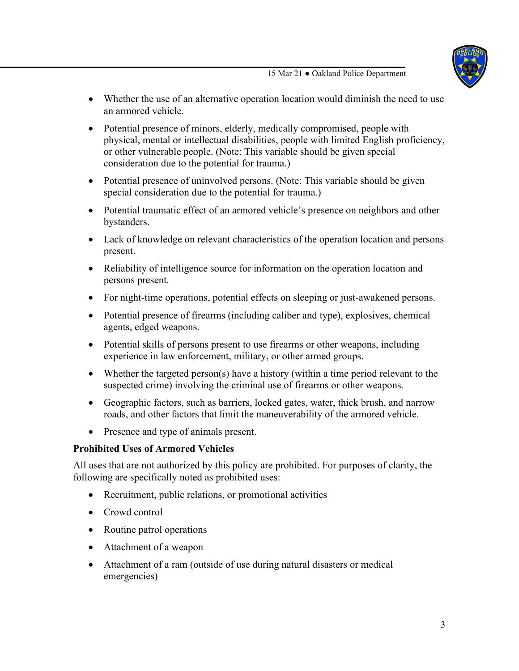15 Mar 21 ● Oakland Police Department

- Whether the use of an alternative operation location would diminish the need to use an armored vehicle.
- Potential presence of minors, elderly, medically compromised, people with physical, mental or intellectual disabilities, people with limited English proficiency, or other vulnerable people. (Note: This variable should be given special consideration due to the potential for trauma.)
- Potential presence of uninvolved persons. (Note: This variable should be given special consideration due to the potential for trauma.)
- Potential traumatic effect of an armored vehicle's presence on neighbors and other bystanders.
- Lack of knowledge on relevant characteristics of the operation location and persons present.
- Reliability of intelligence source for information on the operation location and persons present.
- For night-time operations, potential effects on sleeping or just-awakened persons.
- Potential presence of firearms (including caliber and type), explosives, chemical agents, edged weapons.
- Potential skills of persons present to use firearms or other weapons, including experience in law enforcement, military, or other armed groups.
- Whether the targeted person(s) have a history (within a time period relevant to the suspected crime) involving the criminal use of firearms or other weapons.
- Geographic factors, such as barriers, locked gates, water, thick brush, and narrow roads, and other factors that limit the maneuverability of the armored vehicle.
- Presence and type of animals present.

### **Prohibited Uses of Armored Vehicles**

All uses that are not authorized by this policy are prohibited. For purposes of clarity, the following are specifically noted as prohibited uses:

- Recruitment, public relations, or promotional activities
- Crowd control
- Routine patrol operations
- Attachment of a weapon
- Attachment of a ram (outside of use during natural disasters or medical emergencies)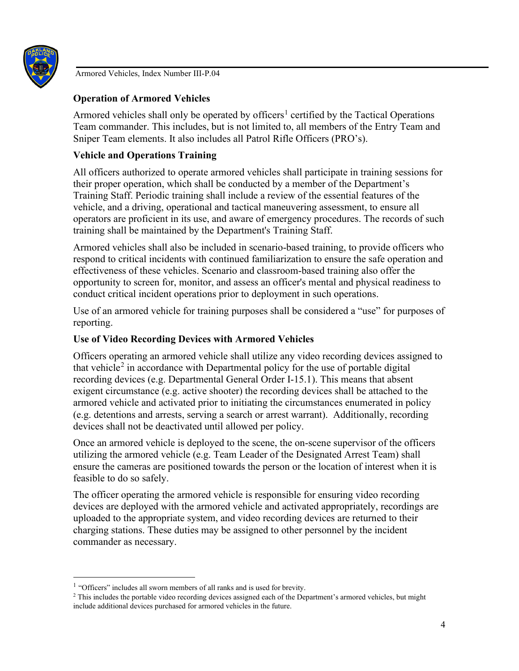

Armored Vehicles, Index Number III-P.04

# **Operation of Armored Vehicles**

Armored vehicles shall only be operated by officers<sup>[1](#page-3-0)</sup> certified by the Tactical Operations Team commander. This includes, but is not limited to, all members of the Entry Team and Sniper Team elements. It also includes all Patrol Rifle Officers (PRO's).

# **Vehicle and Operations Training**

All officers authorized to operate armored vehicles shall participate in training sessions for their proper operation, which shall be conducted by a member of the Department's Training Staff. Periodic training shall include a review of the essential features of the vehicle, and a driving, operational and tactical maneuvering assessment, to ensure all operators are proficient in its use, and aware of emergency procedures. The records of such training shall be maintained by the Department's Training Staff.

Armored vehicles shall also be included in scenario-based training, to provide officers who respond to critical incidents with continued familiarization to ensure the safe operation and effectiveness of these vehicles. Scenario and classroom-based training also offer the opportunity to screen for, monitor, and assess an officer's mental and physical readiness to conduct critical incident operations prior to deployment in such operations.

Use of an armored vehicle for training purposes shall be considered a "use" for purposes of reporting.

### **Use of Video Recording Devices with Armored Vehicles**

Officers operating an armored vehicle shall utilize any video recording devices assigned to that vehicle<sup>[2](#page-3-1)</sup> in accordance with Departmental policy for the use of portable digital recording devices (e.g. Departmental General Order I-15.1). This means that absent exigent circumstance (e.g. active shooter) the recording devices shall be attached to the armored vehicle and activated prior to initiating the circumstances enumerated in policy (e.g. detentions and arrests, serving a search or arrest warrant). Additionally, recording devices shall not be deactivated until allowed per policy.

Once an armored vehicle is deployed to the scene, the on-scene supervisor of the officers utilizing the armored vehicle (e.g. Team Leader of the Designated Arrest Team) shall ensure the cameras are positioned towards the person or the location of interest when it is feasible to do so safely.

The officer operating the armored vehicle is responsible for ensuring video recording devices are deployed with the armored vehicle and activated appropriately, recordings are uploaded to the appropriate system, and video recording devices are returned to their charging stations. These duties may be assigned to other personnel by the incident commander as necessary.

<span id="page-3-0"></span><sup>&</sup>lt;sup>1</sup> "Officers" includes all sworn members of all ranks and is used for brevity.

<span id="page-3-1"></span><sup>2</sup> This includes the portable video recording devices assigned each of the Department's armored vehicles, but might include additional devices purchased for armored vehicles in the future.